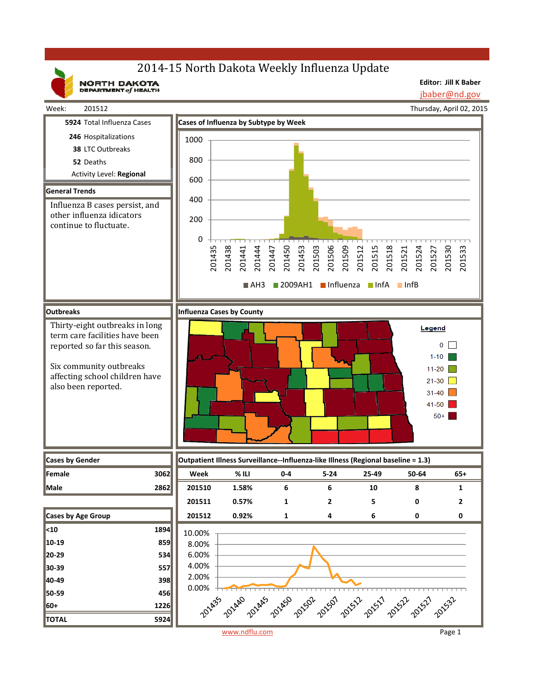# 2014-15 North Dakota Weekly Influenza Update

NORTH DAKOTA

**Editor: Jill K Baber** jbaber@nd.gov

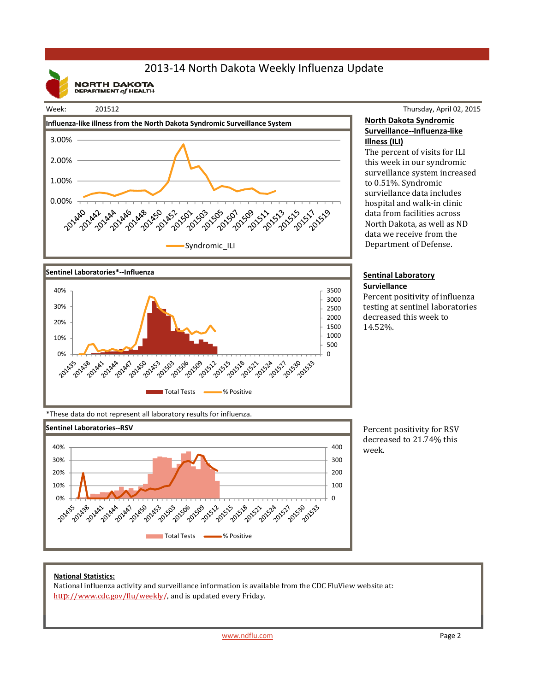## 2013‐14 North Dakota Weekly Influenza Update

**NORTH DAKOTA**<br>DEPARTMENT of HEALTH

### Week: 201512





#### Thursday, April 02, 2015 **North Dakota Syndromic Surveillance‐‐Influenza‐like Illness (ILI)**

The percent of visits for ILI this week in our syndromic surveillance system increased to 0.51%. Syndromic surviellance data includes hospital and walk-in clinic data from facilities across North Dakota, as well as ND data we receive from the Department of Defense.

#### **Sentinal Laboratory Surviellance**

Percent positivity of influenza testing at sentinel laboratories decreased this week to 14.52%. 

\*These data do not represent all laboratory results for influenza.



Percent positivity for RSV decreased to 21.74% this week.

#### **National Statistics:**

National influenza activity and surveillance information is available from the CDC FluView website at: http://www.cdc.gov/flu/weekly/, and is updated every Friday.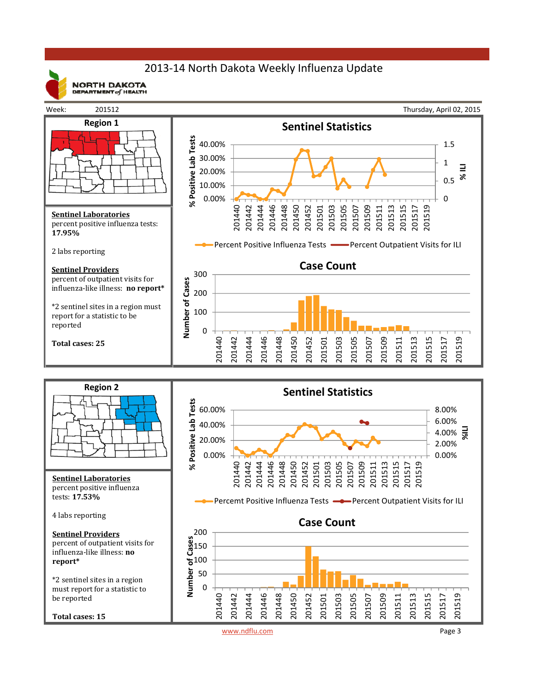## 2013‐14 North Dakota Weekly Influenza Update



**NORTH DAKOTA** DEPARTMENT  $of$  HEALTH